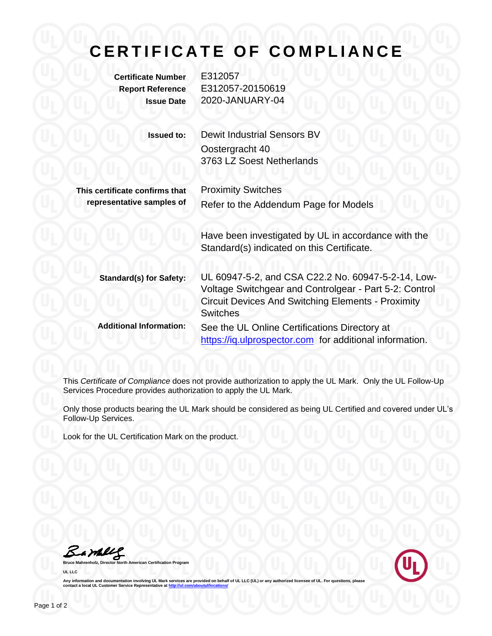## **CERTIFICATE OF COMPLIANCE**

**Certificate Number** E312057

**Report Reference** E312057-20150619 **Issue Date** 2020-JANUARY-04

| <b>Issued to:</b>              | <b>Dewit Industrial Sensors BV</b><br>Oostergracht 40<br>3763 LZ Soest Netherlands |
|--------------------------------|------------------------------------------------------------------------------------|
| This certificate confirms that | <b>Proximity Switches</b>                                                          |
| representative samples of      | Refer to the Addendum Page for Models                                              |

Have been investigated by UL in accordance with the Standard(s) indicated on this Certificate.

| <b>Standard(s) for Safety:</b> | UL 60947-5-2, and CSA C22.2 No. 60947-5-2-14, Low-<br>Voltage Switchgear and Controlgear - Part 5-2: Control<br><b>Circuit Devices And Switching Elements - Proximity</b><br><b>Switches</b> |
|--------------------------------|----------------------------------------------------------------------------------------------------------------------------------------------------------------------------------------------|
| <b>Additional Information:</b> | See the UL Online Certifications Directory at<br>https://iq.ulprospector.com for additional information.                                                                                     |

This *Certificate of Compliance* does not provide authorization to apply the UL Mark. Only the UL Follow-Up Services Procedure provides authorization to apply the UL Mark.

Only those products bearing the UL Mark should be considered as being UL Certified and covered under UL's Follow-Up Services.

Look for the UL Certification Mark on the product.

Barney

**Bruce Mahrenholz, Director North American Certification Program UL LLC**



Any information and documentation involving UL Mark services are provided on behalf of UL LLC (UL) or any authorized licensee of UL. For questions, please<br>contact a local UL Customer Service Representative at <u>http://ul.co</u>